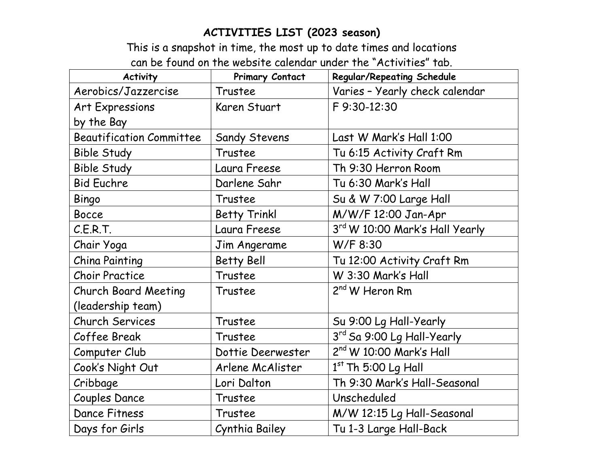## **ACTIVITIES LIST (2023 season)**

This is a snapshot in time, the most up to date times and locations can be found on the website calendar under the "Activities" tab.

| <b>Activity</b>                 | <b>Primary Contact</b> | <b>Regular/Repeating Schedule</b> |
|---------------------------------|------------------------|-----------------------------------|
| Aerobics/Jazzercise             | Trustee                | Varies - Yearly check calendar    |
| Art Expressions                 | Karen Stuart           | F 9:30-12:30                      |
| by the Bay                      |                        |                                   |
| <b>Beautification Committee</b> | <b>Sandy Stevens</b>   | Last W Mark's Hall 1:00           |
| <b>Bible Study</b>              | Trustee                | Tu 6:15 Activity Craft Rm         |
| <b>Bible Study</b>              | Laura Freese           | Th 9:30 Herron Room               |
| <b>Bid Euchre</b>               | Darlene Sahr           | Tu 6:30 Mark's Hall               |
| Bingo                           | Trustee                | Su & W 7:00 Large Hall            |
| <b>Bocce</b>                    | <b>Betty Trinkl</b>    | M/W/F 12:00 Jan-Apr               |
| C.E.R.T.                        | Laura Freese           | 3rd W 10:00 Mark's Hall Yearly    |
| Chair Yoga                      | Jim Angerame           | W/F 8:30                          |
| <b>China Painting</b>           | <b>Betty Bell</b>      | Tu 12:00 Activity Craft Rm        |
| <b>Choir Practice</b>           | Trustee                | W 3:30 Mark's Hall                |
| <b>Church Board Meeting</b>     | Trustee                | 2 <sup>nd</sup> W Heron Rm        |
| (leadership team)               |                        |                                   |
| <b>Church Services</b>          | Trustee                | Su 9:00 Lg Hall-Yearly            |
| Coffee Break                    | Trustee                | 3rd Sa 9:00 Lg Hall-Yearly        |
| Computer Club                   | Dottie Deerwester      | $2nd$ W 10:00 Mark's Hall         |
| Cook's Night Out                | Arlene McAlister       | $1st$ Th 5:00 Lg Hall             |
| Cribbage                        | Lori Dalton            | Th 9:30 Mark's Hall-Seasonal      |
| <b>Couples Dance</b>            | Trustee                | Unscheduled                       |
| Dance Fitness                   | Trustee                | M/W 12:15 Lg Hall-Seasonal        |
| Days for Girls                  | Cynthia Bailey         | Tu 1-3 Large Hall-Back            |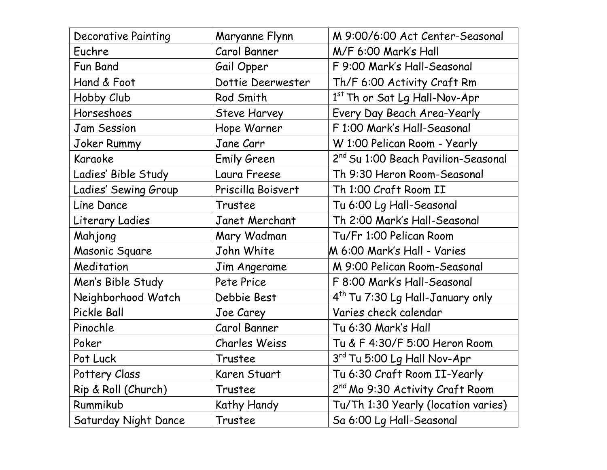| <b>Decorative Painting</b> | Maryanne Flynn       | M 9:00/6:00 Act Center-Seasonal                 |
|----------------------------|----------------------|-------------------------------------------------|
| Euchre                     | Carol Banner         | M/F 6:00 Mark's Hall                            |
| Fun Band                   | Gail Opper           | F 9:00 Mark's Hall-Seasonal                     |
| Hand & Foot                | Dottie Deerwester    | Th/F 6:00 Activity Craft Rm                     |
| Hobby Club                 | Rod Smith            | 1 <sup>st</sup> Th or Sat Lg Hall-Nov-Apr       |
| Horseshoes                 | <b>Steve Harvey</b>  | Every Day Beach Area-Yearly                     |
| <b>Jam Session</b>         | Hope Warner          | F 1:00 Mark's Hall-Seasonal                     |
| Joker Rummy                | Jane Carr            | W 1:00 Pelican Room - Yearly                    |
| Karaoke                    | <b>Emily Green</b>   | 2 <sup>nd</sup> Su 1:00 Beach Pavilion-Seasonal |
| Ladies' Bible Study        | Laura Freese         | Th 9:30 Heron Room-Seasonal                     |
| Ladies' Sewing Group       | Priscilla Boisvert   | Th 1:00 Craft Room II                           |
| Line Dance                 | Trustee              | Tu 6:00 Lg Hall-Seasonal                        |
| Literary Ladies            | Janet Merchant       | Th 2:00 Mark's Hall-Seasonal                    |
| Mahjong                    | Mary Wadman          | Tu/Fr 1:00 Pelican Room                         |
| Masonic Square             | John White           | M 6:00 Mark's Hall - Varies                     |
| Meditation                 | Jim Angerame         | M 9:00 Pelican Room-Seasonal                    |
| Men's Bible Study          | Pete Price           | F 8:00 Mark's Hall-Seasonal                     |
| Neighborhood Watch         | Debbie Best          | 4 <sup>th</sup> Tu 7:30 Lg Hall-January only    |
| Pickle Ball                | Joe Carey            | Varies check calendar                           |
| Pinochle                   | Carol Banner         | Tu 6:30 Mark's Hall                             |
| Poker                      | <b>Charles Weiss</b> | Tu & F 4:30/F 5:00 Heron Room                   |
| Pot Luck                   | Trustee              | $3rd$ Tu 5:00 Lg Hall Nov-Apr                   |
| Pottery Class              | Karen Stuart         | Tu 6:30 Craft Room II-Yearly                    |
| Rip & Roll (Church)        | Trustee              | 2 <sup>nd</sup> Mo 9:30 Activity Craft Room     |
| Rummikub                   | Kathy Handy          | Tu/Th 1:30 Yearly (location varies)             |
| Saturday Night Dance       | Trustee              | Sa 6:00 Lg Hall-Seasonal                        |